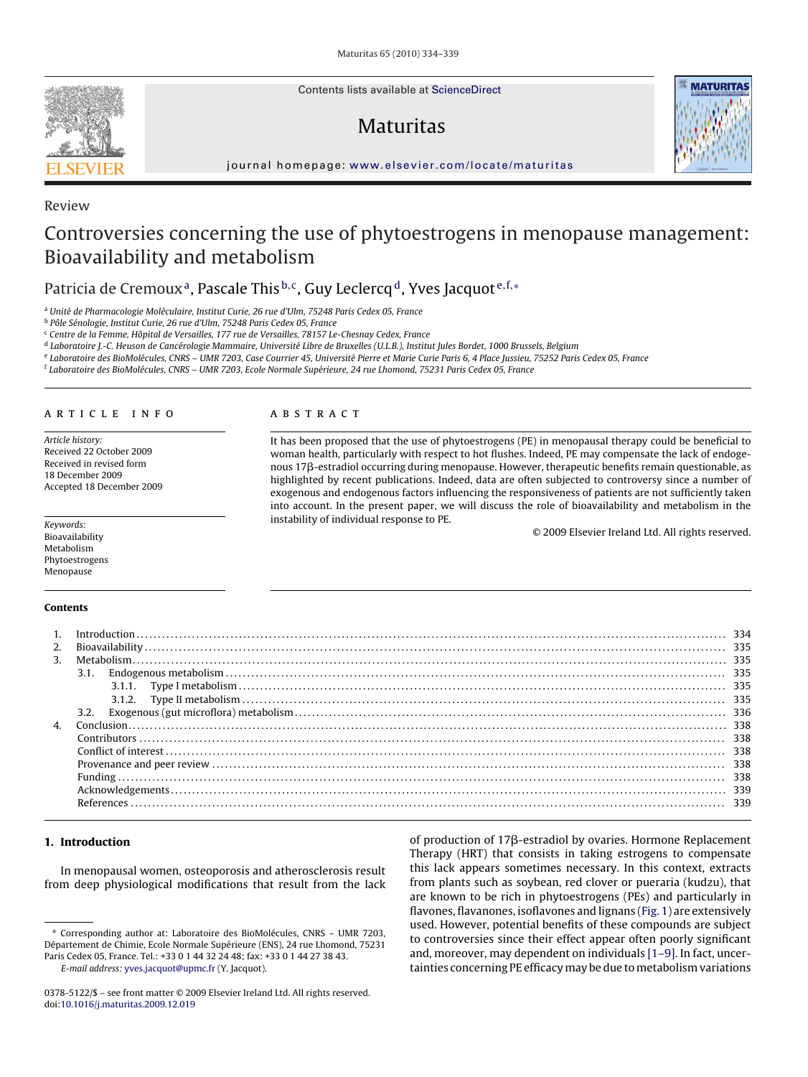Review

Contents lists available at [ScienceDirect](http://www.sciencedirect.com/science/journal/03785122)

# Maturitas



journal homepage: [www.elsevier.com/locate/maturitas](http://www.elsevier.com/locate/maturitas)

## Controversies concerning the use of phytoestrogens in menopause management: Bioavailability and metabolism

## Patricia de Cremoux<sup>a</sup>, Pascale This<sup>b,c</sup>, Guy Leclercq<sup>d</sup>, Yves Jacquot<sup>e, f,\*</sup>

<sup>a</sup> Unité de Pharmacologie Moléculaire, Institut Curie, 26 rue d'Ulm, 75248 Paris Cedex 05, France

<sup>b</sup> Pôle Sénologie, Institut Curie, 26 rue d'Ulm, 75248 Paris Cedex 05, France

<sup>c</sup> Centre de la Femme, Hôpital de Versailles, 177 rue de Versailles, 78157 Le-Chesnay Cedex, France

<sup>d</sup> Laboratoire J.-C. Heuson de Cancérologie Mammaire, Université Libre de Bruxelles (U.L.B.), Institut Jules Bordet, 1000 Brussels, Belgium

e Laboratoire des BioMolécules, CNRS - UMR 7203, Case Courrier 45, Université Pierre et Marie Curie Paris 6, 4 Place Jussieu, 75252 Paris Cedex 05, France

<sup>f</sup> Laboratoire des BioMolécules, CNRS – UMR 7203, Ecole Normale Supérieure, 24 rue Lhomond, 75231 Paris Cedex 05, France

## article info

Article history: Received 22 October 2009 Received in revised form 18 December 2009 Accepted 18 December 2009

Keywords: Bioavailability Metabolism Phytoestrogens Menopause

#### **Contents**

#### **ABSTRACT**

It has been proposed that the use of phytoestrogens (PE) in menopausal therapy could be beneficial to woman health, particularly with respect to hot flushes. Indeed, PE may compensate the lack of endogenous 17β-estradiol occurring during menopause. However, therapeutic benefits remain questionable, as highlighted by recent publications. Indeed, data are often subjected to controversy since a number of exogenous and endogenous factors influencing the responsiveness of patients are not sufficiently taken into account. In the present paper, we will discuss the role of bioavailability and metabolism in the instability of individual response to PE.

© 2009 Elsevier Ireland Ltd. All rights reserved.

| 2.           | $Bioavailability \dots 335$ |  |
|--------------|-----------------------------|--|
| 3.           |                             |  |
|              |                             |  |
|              |                             |  |
|              |                             |  |
|              |                             |  |
| $\mathbf{4}$ |                             |  |
|              |                             |  |
|              |                             |  |
|              |                             |  |
|              |                             |  |
|              |                             |  |
|              |                             |  |
|              |                             |  |

### **1. Introduction**

In menopausal women, osteoporosis and atherosclerosis result from deep physiological modifications that result from the lack

E-mail address: [yves.jacquot@upmc.fr](mailto:yves.jacquot@upmc.fr) (Y. Jacquot).

of production of 17β-estradiol by ovaries. Hormone Replacement Therapy (HRT) that consists in taking estrogens to compensate this lack appears sometimes necessary. In this context, extracts from plants such as soybean, red clover or pueraria (kudzu), that are known to be rich in phytoestrogens (PEs) and particularly in flavones, flavanones, isoflavones and lignans [\(Fig. 1\) a](#page-1-0)re extensively used. However, potential benefits of these compounds are subject to controversies since their effect appear often poorly significant and, moreover, may dependent on individuals [\[1–9\]. I](#page-5-0)n fact, uncertainties concerning PE efficacymay be due tometabolism variations

<sup>∗</sup> Corresponding author at: Laboratoire des BioMolécules, CNRS – UMR 7203, Département de Chimie, Ecole Normale Supérieure (ENS), 24 rue Lhomond, 75231 Paris Cedex 05, France. Tel.: +33 0 1 44 32 24 48; fax: +33 0 1 44 27 38 43.

<sup>0378-5122/\$ –</sup> see front matter © 2009 Elsevier Ireland Ltd. All rights reserved. doi:[10.1016/j.maturitas.2009.12.019](dx.doi.org/10.1016/j.maturitas.2009.12.019)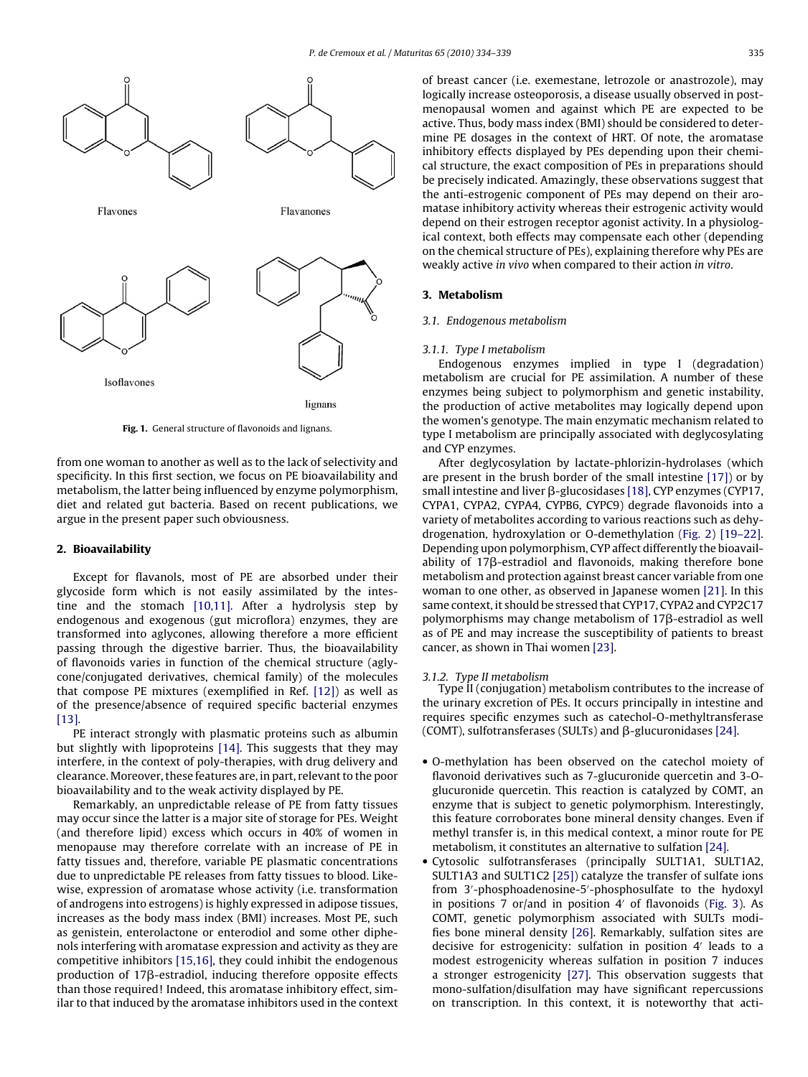<span id="page-1-0"></span>

**Fig. 1.** General structure of flavonoids and lignans.

from one woman to another as well as to the lack of selectivity and specificity. In this first section, we focus on PE bioavailability and metabolism, the latter being influenced by enzyme polymorphism, diet and related gut bacteria. Based on recent publications, we argue in the present paper such obviousness.

#### **2. Bioavailability**

Except for flavanols, most of PE are absorbed under their glycoside form which is not easily assimilated by the intestine and the stomach [\[10,11\].](#page-5-0) After a hydrolysis step by endogenous and exogenous (gut microflora) enzymes, they are transformed into aglycones, allowing therefore a more efficient passing through the digestive barrier. Thus, the bioavailability of flavonoids varies in function of the chemical structure (aglycone/conjugated derivatives, chemical family) of the molecules that compose PE mixtures (exemplified in Ref. [\[12\]\)](#page-5-0) as well as of the presence/absence of required specific bacterial enzymes [\[13\].](#page-5-0)

PE interact strongly with plasmatic proteins such as albumin but slightly with lipoproteins [\[14\].](#page-5-0) This suggests that they may interfere, in the context of poly-therapies, with drug delivery and clearance. Moreover, these features are, in part, relevant to the poor bioavailability and to the weak activity displayed by PE.

Remarkably, an unpredictable release of PE from fatty tissues may occur since the latter is a major site of storage for PEs. Weight (and therefore lipid) excess which occurs in 40% of women in menopause may therefore correlate with an increase of PE in fatty tissues and, therefore, variable PE plasmatic concentrations due to unpredictable PE releases from fatty tissues to blood. Likewise, expression of aromatase whose activity (i.e. transformation of androgens into estrogens) is highly expressed in adipose tissues, increases as the body mass index (BMI) increases. Most PE, such as genistein, enterolactone or enterodiol and some other diphenols interfering with aromatase expression and activity as they are competitive inhibitors [\[15,16\], t](#page-5-0)hey could inhibit the endogenous production of 17β-estradiol, inducing therefore opposite effects than those required! Indeed, this aromatase inhibitory effect, similar to that induced by the aromatase inhibitors used in the context of breast cancer (i.e. exemestane, letrozole or anastrozole), may logically increase osteoporosis, a disease usually observed in postmenopausal women and against which PE are expected to be active. Thus, body mass index (BMI) should be considered to determine PE dosages in the context of HRT. Of note, the aromatase inhibitory effects displayed by PEs depending upon their chemical structure, the exact composition of PEs in preparations should be precisely indicated. Amazingly, these observations suggest that the anti-estrogenic component of PEs may depend on their aromatase inhibitory activity whereas their estrogenic activity would depend on their estrogen receptor agonist activity. In a physiological context, both effects may compensate each other (depending on the chemical structure of PEs), explaining therefore why PEs are weakly active in vivo when compared to their action in vitro.

#### **3. Metabolism**

#### 3.1. Endogenous metabolism

#### 3.1.1. Type I metabolism

Endogenous enzymes implied in type I (degradation) metabolism are crucial for PE assimilation. A number of these enzymes being subject to polymorphism and genetic instability, the production of active metabolites may logically depend upon the women's genotype. The main enzymatic mechanism related to type I metabolism are principally associated with deglycosylating and CYP enzymes.

After deglycosylation by lactate-phlorizin-hydrolases (which are present in the brush border of the small intestine [\[17\]\)](#page-5-0) or by small intestine and liver  $\beta$ -glucosidases [\[18\], C](#page-5-0)YP enzymes (CYP17, CYPA1, CYPA2, CYPA4, CYPB6, CYPC9) degrade flavonoids into a variety of metabolites according to various reactions such as dehydrogenation, hydroxylation or O-demethylation [\(Fig. 2\)](#page-2-0) [\[19–22\].](#page-5-0) Depending upon polymorphism, CYP affect differently the bioavail $a$ bility of 17 $\beta$ -estradiol and flavonoids, making therefore bone metabolism and protection against breast cancer variable from one woman to one other, as observed in Japanese women [\[21\]. I](#page-5-0)n this same context, it should be stressed that CYP17, CYPA2 and CYP2C17  $polymorphism$ s may change metabolism of 17 $\beta$ -estradiol as well as of PE and may increase the susceptibility of patients to breast cancer, as shown in Thai women [\[23\].](#page-5-0)

#### 3.1.2. Type II metabolism

Type II (conjugation) metabolism contributes to the increase of the urinary excretion of PEs. It occurs principally in intestine and requires specific enzymes such as catechol-O-methyltransferase (COMT), sulfotransferases (SULTs) and  $\beta$ -glucuronidases [\[24\].](#page-5-0)

- O-methylation has been observed on the catechol moiety of flavonoid derivatives such as 7-glucuronide quercetin and 3-Oglucuronide quercetin. This reaction is catalyzed by COMT, an enzyme that is subject to genetic polymorphism. Interestingly, this feature corroborates bone mineral density changes. Even if methyl transfer is, in this medical context, a minor route for PE metabolism, it constitutes an alternative to sulfation [\[24\].](#page-5-0)
- Cytosolic sulfotransferases (principally SULT1A1, SULT1A2, SULT1A3 and SULT1C2 [\[25\]\)](#page-5-0) catalyze the transfer of sulfate ions from 3 -phosphoadenosine-5 -phosphosulfate to the hydoxyl in positions 7 or/and in position  $4'$  of flavonoids ([Fig. 3\).](#page-2-0) As COMT, genetic polymorphism associated with SULTs modifies bone mineral density [\[26\].](#page-5-0) Remarkably, sulfation sites are decisive for estrogenicity: sulfation in position 4' leads to a modest estrogenicity whereas sulfation in position 7 induces a stronger estrogenicity [\[27\].](#page-5-0) This observation suggests that mono-sulfation/disulfation may have significant repercussions on transcription. In this context, it is noteworthy that acti-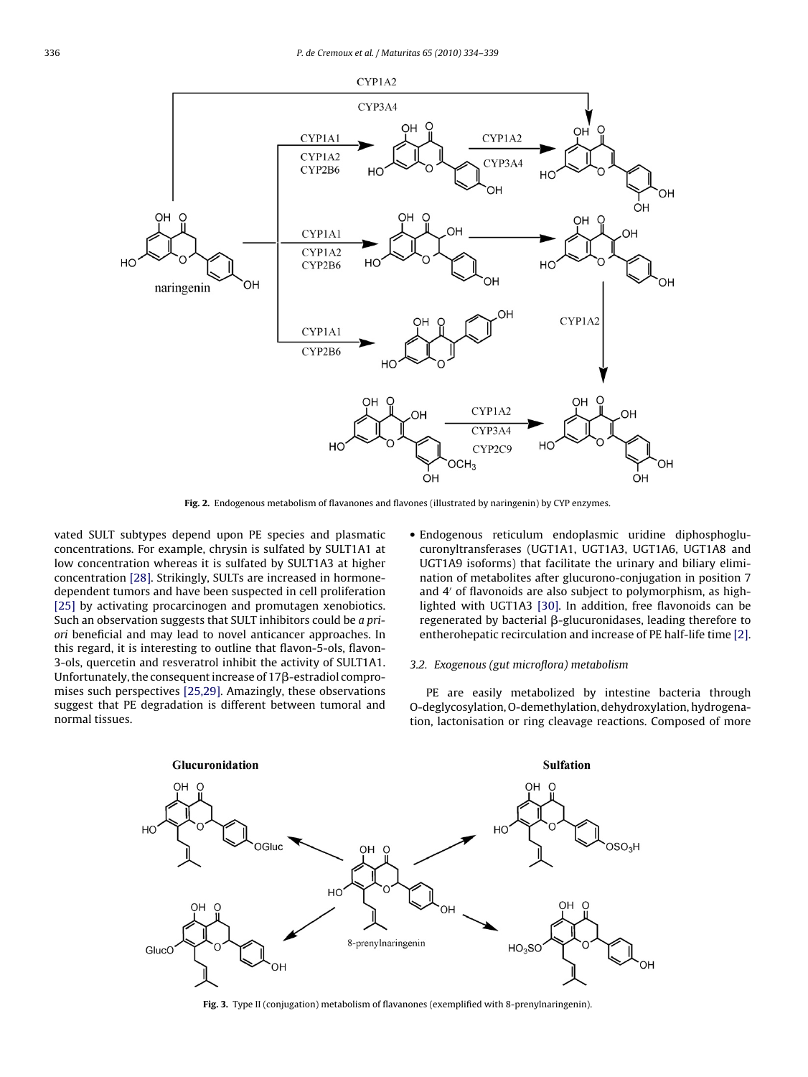<span id="page-2-0"></span>

**Fig. 2.** Endogenous metabolism of flavanones and flavones (illustrated by naringenin) by CYP enzymes.

vated SULT subtypes depend upon PE species and plasmatic concentrations. For example, chrysin is sulfated by SULT1A1 at low concentration whereas it is sulfated by SULT1A3 at higher concentration [\[28\]. S](#page-5-0)trikingly, SULTs are increased in hormonedependent tumors and have been suspected in cell proliferation [\[25\]](#page-5-0) by activating procarcinogen and promutagen xenobiotics. Such an observation suggests that SULT inhibitors could be a priori beneficial and may lead to novel anticancer approaches. In this regard, it is interesting to outline that flavon-5-ols, flavon-3-ols, quercetin and resveratrol inhibit the activity of SULT1A1. Unfortunately, the consequent increase of  $17\beta$ -estradiol compromises such perspectives [\[25,29\]. A](#page-5-0)mazingly, these observations suggest that PE degradation is different between tumoral and normal tissues.

• Endogenous reticulum endoplasmic uridine diphosphoglucuronyltransferases (UGT1A1, UGT1A3, UGT1A6, UGT1A8 and UGT1A9 isoforms) that facilitate the urinary and biliary elimination of metabolites after glucurono-conjugation in position 7 and 4' of flavonoids are also subject to polymorphism, as highlighted with UGT1A3 [\[30\].](#page-5-0) In addition, free flavonoids can be regenerated by bacterial  $\beta$ -glucuronidases, leading therefore to entherohepatic recirculation and increase of PE half-life time [\[2\].](#page-5-0)

### 3.2. Exogenous (gut microflora) metabolism

PE are easily metabolized by intestine bacteria through O-deglycosylation, O-demethylation, dehydroxylation, hydrogenation, lactonisation or ring cleavage reactions. Composed of more



**Fig. 3.** Type II (conjugation) metabolism of flavanones (exemplified with 8-prenylnaringenin).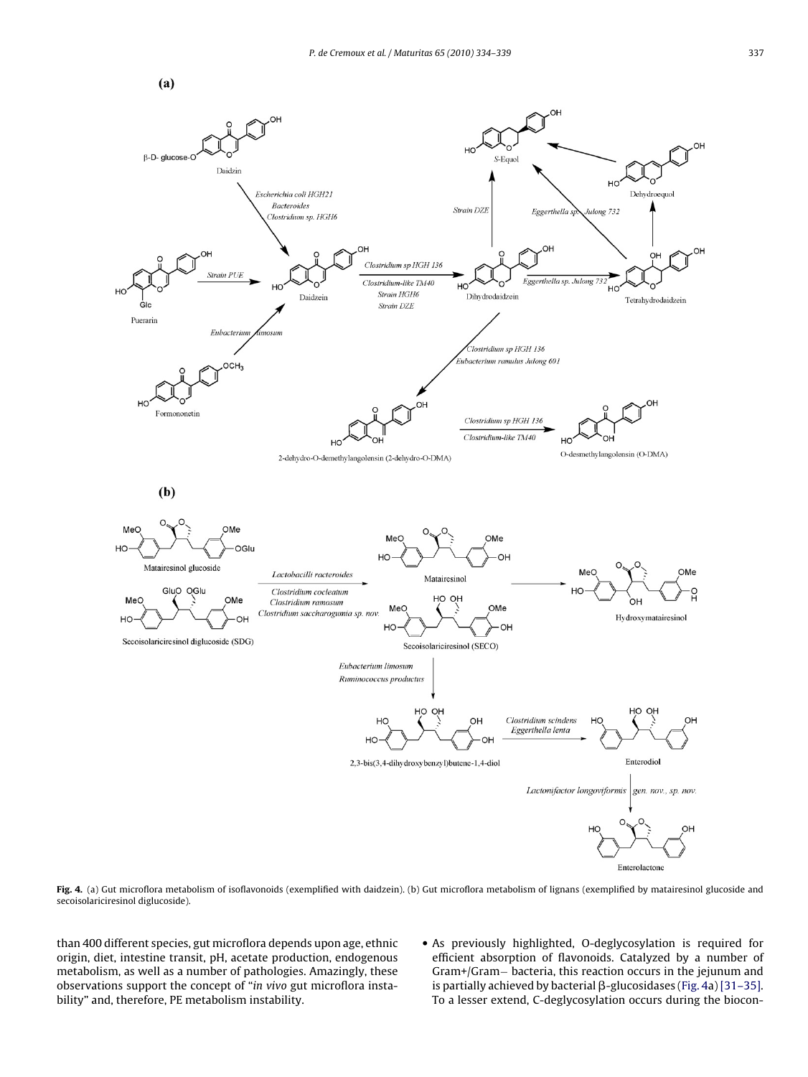<span id="page-3-0"></span>

Fig. 4. (a) Gut microflora metabolism of isoflavonoids (exemplified with daidzein). (b) Gut microflora metabolism of lignans (exemplified by matairesinol glucoside and secoisolariciresinol diglucoside).

than 400 different species, gut microflora depends upon age, ethnic origin, diet, intestine transit, pH, acetate production, endogenous metabolism, as well as a number of pathologies. Amazingly, these observations support the concept of "in vivo gut microflora instability" and, therefore, PE metabolism instability.

• As previously highlighted, O-deglycosylation is required for efficient absorption of flavonoids. Catalyzed by a number of Gram+/Gram− bacteria, this reaction occurs in the jejunum and is partially achieved by bacterial  $\beta$ -glucosidases (Fig. 4a) [\[31–35\].](#page-5-0) To a lesser extend, C-deglycosylation occurs during the biocon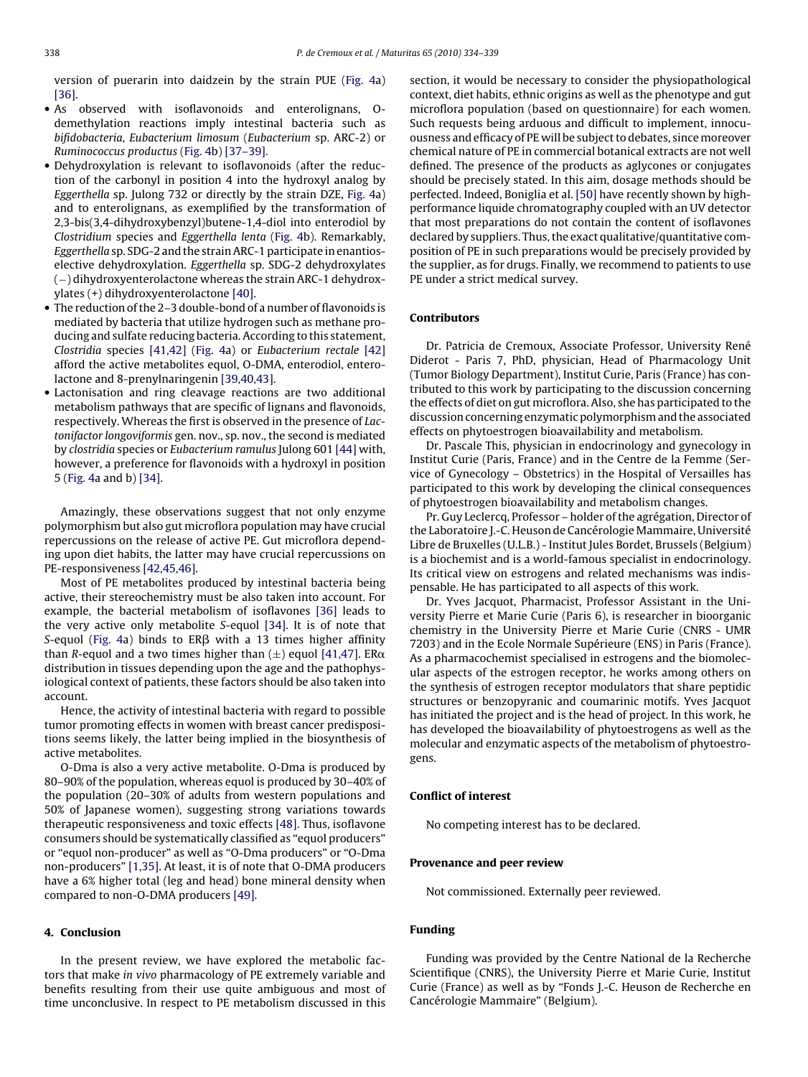version of puerarin into daidzein by the strain PUE ([Fig. 4a](#page-3-0)) [\[36\].](#page-5-0)

- As observed with isoflavonoids and enterolignans, Odemethylation reactions imply intestinal bacteria such as bifidobacteria, Eubacterium limosum (Eubacterium sp. ARC-2) or Ruminococcus productus ([Fig. 4b\)](#page-3-0) [\[37–39\].](#page-5-0)
- Dehydroxylation is relevant to isoflavonoids (after the reduction of the carbonyl in position 4 into the hydroxyl analog by Eggerthella sp. Julong 732 or directly by the strain DZE, [Fig. 4a](#page-3-0)) and to enterolignans, as exemplified by the transformation of 2,3-bis(3,4-dihydroxybenzyl)butene-1,4-diol into enterodiol by Clostridium species and Eggerthella lenta ([Fig. 4b](#page-3-0)). Remarkably, Eggerthella sp. SDG-2 and the strain ARC-1 participate in enantioselective dehydroxylation. Eggerthella sp. SDG-2 dehydroxylates (−) dihydroxyenterolactone whereas the strain ARC-1 dehydroxylates (+) dihydroxyenterolactone [\[40\].](#page-5-0)
- The reduction of the 2–3 double-bond of a number of flavonoids is mediated by bacteria that utilize hydrogen such as methane producing and sulfate reducing bacteria. According to this statement, Clostridia species [\[41,42\]](#page-5-0) [\(Fig. 4a](#page-3-0)) or Eubacterium rectale [\[42\]](#page-5-0) afford the active metabolites equol, O-DMA, enterodiol, enterolactone and 8-prenylnaringenin [\[39,40,43\].](#page-5-0)
- Lactonisation and ring cleavage reactions are two additional metabolism pathways that are specific of lignans and flavonoids, respectively. Whereas the first is observed in the presence of Lactonifactor longoviformis gen. nov., sp. nov., the second is mediated by clostridia species or Eubacterium ramulus Julong 601 [\[44\]](#page-5-0) with, however, a preference for flavonoids with a hydroxyl in position 5 ([Fig. 4a](#page-3-0) and b) [\[34\].](#page-5-0)

Amazingly, these observations suggest that not only enzyme polymorphism but also gut microflora population may have crucial repercussions on the release of active PE. Gut microflora depending upon diet habits, the latter may have crucial repercussions on PE-responsiveness [\[42,45,46\].](#page-5-0)

Most of PE metabolites produced by intestinal bacteria being active, their stereochemistry must be also taken into account. For example, the bacterial metabolism of isoflavones [\[36\]](#page-5-0) leads to the very active only metabolite S-equol [\[34\].](#page-5-0) It is of note that S-equol ([Fig. 4a](#page-3-0)) binds to ER $\beta$  with a 13 times higher affinity than R-equol and a two times higher than  $(\pm)$  equol [\[41,47\]. E](#page-5-0)R $\alpha$ distribution in tissues depending upon the age and the pathophysiological context of patients, these factors should be also taken into account.

Hence, the activity of intestinal bacteria with regard to possible tumor promoting effects in women with breast cancer predispositions seems likely, the latter being implied in the biosynthesis of active metabolites.

O-Dma is also a very active metabolite. O-Dma is produced by 80–90% of the population, whereas equol is produced by 30–40% of the population (20–30% of adults from western populations and 50% of Japanese women), suggesting strong variations towards therapeutic responsiveness and toxic effects [\[48\]. T](#page-5-0)hus, isoflavone consumers should be systematically classified as "equol producers" or "equol non-producer" as well as "O-Dma producers" or "O-Dma non-producers" [\[1,35\]. A](#page-5-0)t least, it is of note that O-DMA producers have a 6% higher total (leg and head) bone mineral density when compared to non-O-DMA producers [\[49\].](#page-5-0)

#### **4. Conclusion**

In the present review, we have explored the metabolic factors that make in vivo pharmacology of PE extremely variable and benefits resulting from their use quite ambiguous and most of time unconclusive. In respect to PE metabolism discussed in this section, it would be necessary to consider the physiopathological context, diet habits, ethnic origins as well as the phenotype and gut microflora population (based on questionnaire) for each women. Such requests being arduous and difficult to implement, innocuousness and efficacy of PE will be subject to debates, since moreover chemical nature of PE in commercial botanical extracts are not well defined. The presence of the products as aglycones or conjugates should be precisely stated. In this aim, dosage methods should be perfected. Indeed, Boniglia et al. [\[50\]](#page-5-0) have recently shown by highperformance liquide chromatography coupled with an UV detector that most preparations do not contain the content of isoflavones declared by suppliers. Thus, the exact qualitative/quantitative composition of PE in such preparations would be precisely provided by the supplier, as for drugs. Finally, we recommend to patients to use PE under a strict medical survey.

#### **Contributors**

Dr. Patricia de Cremoux, Associate Professor, University René Diderot - Paris 7, PhD, physician, Head of Pharmacology Unit (Tumor Biology Department), Institut Curie, Paris (France) has contributed to this work by participating to the discussion concerning the effects of diet on gut microflora. Also, she has participated to the discussion concerning enzymatic polymorphism and the associated effects on phytoestrogen bioavailability and metabolism.

Dr. Pascale This, physician in endocrinology and gynecology in Institut Curie (Paris, France) and in the Centre de la Femme (Service of Gynecology – Obstetrics) in the Hospital of Versailles has participated to this work by developing the clinical consequences of phytoestrogen bioavailability and metabolism changes.

Pr. Guy Leclercq, Professor – holder of the agrégation, Director of the Laboratoire J.-C. Heuson de Cancérologie Mammaire, Université Libre de Bruxelles (U.L.B.) - Institut Jules Bordet, Brussels (Belgium) is a biochemist and is a world-famous specialist in endocrinology. Its critical view on estrogens and related mechanisms was indispensable. He has participated to all aspects of this work.

Dr. Yves Jacquot, Pharmacist, Professor Assistant in the University Pierre et Marie Curie (Paris 6), is researcher in bioorganic chemistry in the University Pierre et Marie Curie (CNRS - UMR 7203) and in the Ecole Normale Supérieure (ENS) in Paris (France). As a pharmacochemist specialised in estrogens and the biomolecular aspects of the estrogen receptor, he works among others on the synthesis of estrogen receptor modulators that share peptidic structures or benzopyranic and coumarinic motifs. Yves Jacquot has initiated the project and is the head of project. In this work, he has developed the bioavailability of phytoestrogens as well as the molecular and enzymatic aspects of the metabolism of phytoestrogens.

#### **Conflict of interest**

No competing interest has to be declared.

#### **Provenance and peer review**

Not commissioned. Externally peer reviewed.

## **Funding**

Funding was provided by the Centre National de la Recherche Scientifique (CNRS), the University Pierre et Marie Curie, Institut Curie (France) as well as by "Fonds J.-C. Heuson de Recherche en Cancérologie Mammaire" (Belgium).